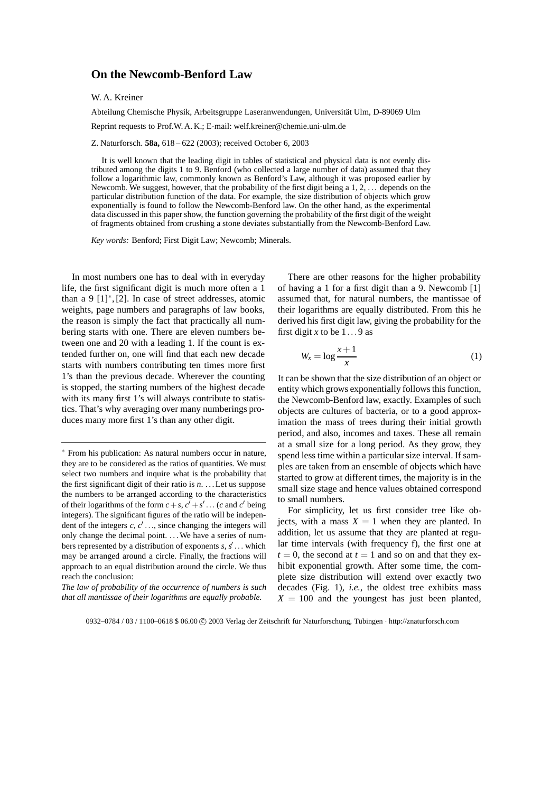## **On the Newcomb-Benford Law**

## W. A. Kreiner

Abteilung Chemische Physik, Arbeitsgruppe Laseranwendungen, Universität Ulm, D-89069 Ulm

Reprint requests to Prof.W. A. K.; E-mail: welf.kreiner@chemie.uni-ulm.de

Z. Naturforsch. **58a,** 618 – 622 (2003); received October 6, 2003

It is well known that the leading digit in tables of statistical and physical data is not evenly distributed among the digits 1 to 9. Benford (who collected a large number of data) assumed that they follow a logarithmic law, commonly known as Benford's Law, although it was proposed earlier by Newcomb. We suggest, however, that the probability of the first digit being a 1, 2, ... depends on the particular distribution function of the data. For example, the size distribution of objects which grow exponentially is found to follow the Newcomb-Benford law. On the other hand, as the experimental data discussed in this paper show, the function governing the probability of the first digit of the weight of fragments obtained from crushing a stone deviates substantially from the Newcomb-Benford Law.

*Key words:* Benford; First Digit Law; Newcomb; Minerals.

In most numbers one has to deal with in everyday life, the first significant digit is much more often a 1 than a 9  $[1]^*, [2]$ . In case of street addresses, atomic weights, page numbers and paragraphs of law books, the reason is simply the fact that practically all numbering starts with one. There are eleven numbers between one and 20 with a leading 1. If the count is extended further on, one will find that each new decade starts with numbers contributing ten times more first 1's than the previous decade. Wherever the counting is stopped, the starting numbers of the highest decade with its many first 1's will always contribute to statistics. That's why averaging over many numberings produces many more first 1's than any other digit.

There are other reasons for the higher probability of having a 1 for a first digit than a 9. Newcomb [1] assumed that, for natural numbers, the mantissae of their logarithms are equally distributed. From this he derived his first digit law, giving the probability for the first digit *x* to be 1*...*9 as

$$
W_x = \log \frac{x+1}{x} \tag{1}
$$

It can be shown that the size distribution of an object or entity which grows exponentially follows this function, the Newcomb-Benford law, exactly. Examples of such objects are cultures of bacteria, or to a good approximation the mass of trees during their initial growth period, and also, incomes and taxes. These all remain at a small size for a long period. As they grow, they spend less time within a particular size interval. If samples are taken from an ensemble of objects which have started to grow at different times, the majority is in the small size stage and hence values obtained correspond to small numbers.

For simplicity, let us first consider tree like objects, with a mass  $X = 1$  when they are planted. In addition, let us assume that they are planted at regular time intervals (with frequency f), the first one at  $t = 0$ , the second at  $t = 1$  and so on and that they exhibit exponential growth. After some time, the complete size distribution will extend over exactly two decades (Fig. 1), *i.e.*, the oldest tree exhibits mass  $X = 100$  and the youngest has just been planted,

0932–0784 / 03 / 1100–0618 \$ 06.00 C 2003 Verlag der Zeitschrift für Naturforschung, Tübingen · http://znaturforsch.com

<sup>∗</sup> From his publication: As natural numbers occur in nature, they are to be considered as the ratios of quantities. We must select two numbers and inquire what is the probability that the first significant digit of their ratio is *n*. . . . Let us suppose the numbers to be arranged according to the characteristics of their logarithms of the form  $c + s$ ,  $c' + s'$ ... (*c* and  $c'$  being integers). The significant figures of the ratio will be independent of the integers  $c, c'$ ..., since changing the integers will only change the decimal point. . . . We have a series of numbers represented by a distribution of exponents *s*, *s* - *...* which may be arranged around a circle. Finally, the fractions will approach to an equal distribution around the circle. We thus reach the conclusion:

*The law of probability of the occurrence of numbers is such that all mantissae of their logarithms are equally probable.*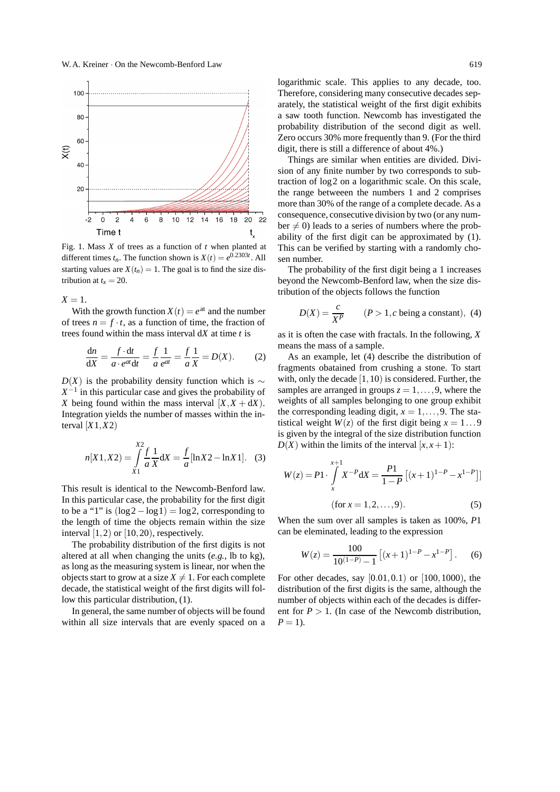

Fig. 1. Mass *X* of trees as a function of *t* when planted at different times  $t_n$ . The function shown is  $X(t) = e^{0.2303t}$ . All starting values are  $X(t_n) = 1$ . The goal is to find the size distribution at  $t_r = 20$ .

 $X=1$ .

With the growth function  $X(t) = e^{at}$  and the number of trees  $n = f \cdot t$ , as a function of time, the fraction of trees found within the mass interval d*X* at time *t* is

$$
\frac{dn}{dX} = \frac{f \cdot dt}{a \cdot e^{at} dt} = \frac{f}{a} \frac{1}{e^{at}} = \frac{f}{a} \frac{1}{X} = D(X). \tag{2}
$$

 $D(X)$  is the probability density function which is  $\sim$ *X*<sup>−1</sup> in this particular case and gives the probability of *X* being found within the mass interval  $[X, X + dX]$ . Integration yields the number of masses within the interval [*X*1*,X*2)

$$
n[X1, X2] = \int_{X1}^{X2} \frac{f}{a} \frac{1}{X} dX = \frac{f}{a} [\ln X2 - \ln X1].
$$
 (3)

This result is identical to the Newcomb-Benford law. In this particular case, the probability for the first digit to be a "1" is  $(\log 2 - \log 1) = \log 2$ , corresponding to the length of time the objects remain within the size interval [1*,*2) or [10*,*20), respectively.

The probability distribution of the first digits is not altered at all when changing the units (*e.g.*, lb to kg), as long as the measuring system is linear, nor when the objects start to grow at a size  $X \neq 1$ . For each complete decade, the statistical weight of the first digits will follow this particular distribution, (1).

In general, the same number of objects will be found within all size intervals that are evenly spaced on a

logarithmic scale. This applies to any decade, too. Therefore, considering many consecutive decades separately, the statistical weight of the first digit exhibits a saw tooth function. Newcomb has investigated the probability distribution of the second digit as well. Zero occurs 30% more frequently than 9. (For the third digit, there is still a difference of about 4%.)

Things are similar when entities are divided. Division of any finite number by two corresponds to subtraction of log2 on a logarithmic scale. On this scale, the range betweeen the numbers 1 and 2 comprises more than 30% of the range of a complete decade. As a consequence, consecutive division by two (or any num $ber \neq 0$ ) leads to a series of numbers where the probability of the first digit can be approximated by (1). This can be verified by starting with a randomly chosen number.

The probability of the first digit being a 1 increases beyond the Newcomb-Benford law, when the size distribution of the objects follows the function

$$
D(X) = \frac{c}{X^P}
$$
 (*P* > 1, *c* being a constant), (4)

as it is often the case with fractals. In the following, *X* means the mass of a sample.

As an example, let (4) describe the distribution of fragments obatained from crushing a stone. To start with, only the decade [1*,*10) is considered. Further, the samples are arranged in groups  $z = 1, \ldots, 9$ , where the weights of all samples belonging to one group exhibit the corresponding leading digit,  $x = 1, \ldots, 9$ . The statistical weight  $W(z)$  of the first digit being  $x = 1...9$ is given by the integral of the size distribution function  $D(X)$  within the limits of the interval  $[x, x+1)$ :

$$
W(z) = P1 \cdot \int_{x}^{x+1} X^{-P} dX = \frac{P1}{1-P} [(x+1)^{1-P} - x^{1-P}]]
$$
  
(for  $x = 1, 2, ..., 9$ ). (5)

When the sum over all samples is taken as 100%, *P*1 can be eleminated, leading to the expression

$$
W(z) = \frac{100}{10^{(1-P)} - 1} \left[ (x+1)^{1-P} - x^{1-P} \right].
$$
 (6)

For other decades, say [0*.*01*,*0*.*1) or [100*,*1000), the distribution of the first digits is the same, although the number of objects within each of the decades is different for  $P > 1$ . (In case of the Newcomb distribution,  $P = 1$ ).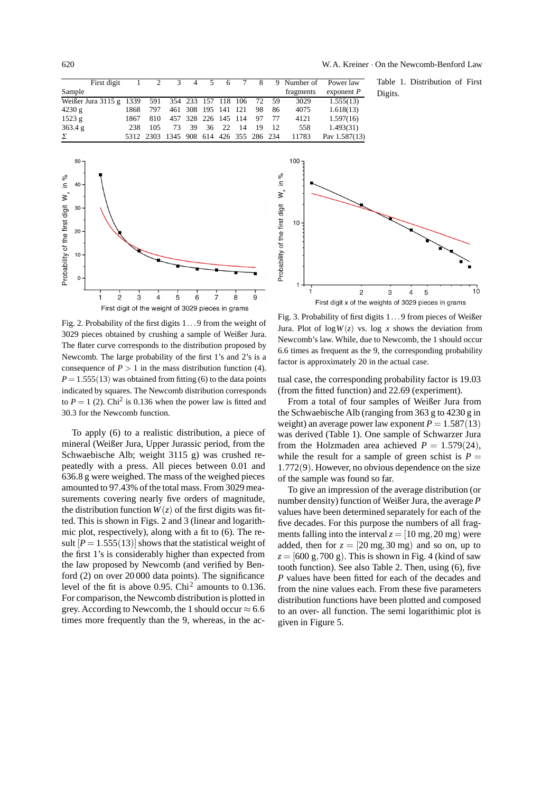Digits.

Table 1. Distribution of First

| First digit              |      | 2                                      | 3                             | 4   | 5.                  | -6            | $7\phantom{.0}$ | 8    |        | 9 Number of | Power law     |
|--------------------------|------|----------------------------------------|-------------------------------|-----|---------------------|---------------|-----------------|------|--------|-------------|---------------|
| Sample                   |      |                                        |                               |     |                     |               |                 |      |        | fragments   | exponent $P$  |
| Weißer Jura $3115g$ 1339 |      |                                        | 591 354 233 157 118 106 72 59 |     |                     |               |                 |      |        | 3029        | 1.555(13)     |
| 4230 g                   | 1868 | 797                                    |                               |     | 461 308 195 141 121 |               |                 | 98   | -86    | 4075        | 1.618(13)     |
| $1523$ g                 | 1867 | 810                                    |                               |     | 457 328 226 145 114 |               |                 | - 97 |        | 4121        | 1.597(16)     |
| 363.4 g                  | 238  | 105                                    | 73                            | -39 |                     | $36 \quad 22$ | -14             | 19   | $-12.$ | 558         | 1.493(31)     |
| Σ                        |      | 5312 2303 1345 908 614 426 355 286 234 |                               |     |                     |               |                 |      |        | 11783       | Pav 1.587(13) |



Fig. 2. Probability of the first digits 1*...*9 from the weight of 3029 pieces obtained by crushing a sample of Weißer Jura. The flater curve corresponds to the distribution proposed by Newcomb. The large probability of the first 1's and 2's is a consequence of  $P > 1$  in the mass distribution function (4).  $P = 1.555(13)$  was obtained from fitting (6) to the data points indicated by squares. The Newcomb distribution corresponds to  $P = 1$  (2). Chi<sup>2</sup> is 0.136 when the power law is fitted and 30.3 for the Newcomb function.

To apply (6) to a realistic distribution, a piece of mineral (Weißer Jura, Upper Jurassic period, from the Schwaebische Alb; weight 3115 g) was crushed repeatedly with a press. All pieces between 0.01 and 636.8 g were weighed. The mass of the weighed pieces amounted to 97.43% of the total mass. From 3029 measurements covering nearly five orders of magnitude, the distribution function  $W(z)$  of the first digits was fitted. This is shown in Figs. 2 and 3 (linear and logarithmic plot, respectively), along with a fit to (6). The result  $[P = 1.555(13)]$  shows that the statistical weight of the first 1's is considerably higher than expected from the law proposed by Newcomb (and verified by Benford (2) on over 20 000 data points). The significance level of the fit is above 0.95.  $Chi<sup>2</sup>$  amounts to 0.136. For comparison, the Newcomb distribution is plotted in grey. According to Newcomb, the 1 should occur  $\approx 6.6$ times more frequently than the 9, whereas, in the ac-



Fig. 3. Probability of first digits 1*...*9 from pieces of Weißer Jura. Plot of  $log W(z)$  vs. log *x* shows the deviation from Newcomb's law. While, due to Newcomb, the 1 should occur 6.6 times as frequent as the 9, the corresponding probability factor is approximately 20 in the actual case.

tual case, the corresponding probability factor is 19.03 (from the fitted function) and 22.69 (experiment).

From a total of four samples of Weißer Jura from the Schwaebische Alb (ranging from 363 g to 4230 g in weight) an average power law exponent  $P = 1.587(13)$ was derived (Table 1). One sample of Schwarzer Jura from the Holzmaden area achieved  $P = 1.579(24)$ , while the result for a sample of green schist is  $P =$ 1*.*772(9). However, no obvious dependence on the size of the sample was found so far.

To give an impression of the average distribution (or number density) function of Weißer Jura, the average *P* values have been determined separately for each of the five decades. For this purpose the numbers of all fragments falling into the interval  $z = [10 \text{ mg}, 20 \text{ mg})$  were added, then for  $z = [20 \text{ mg}, 30 \text{ mg}]$  and so on, up to  $z = [600 \text{ g}, 700 \text{ g})$ . This is shown in Fig. 4 (kind of saw tooth function). See also Table 2. Then, using (6), five *P* values have been fitted for each of the decades and from the nine values each. From these five parameters distribution functions have been plotted and composed to an over- all function. The semi logarithimic plot is given in Figure 5.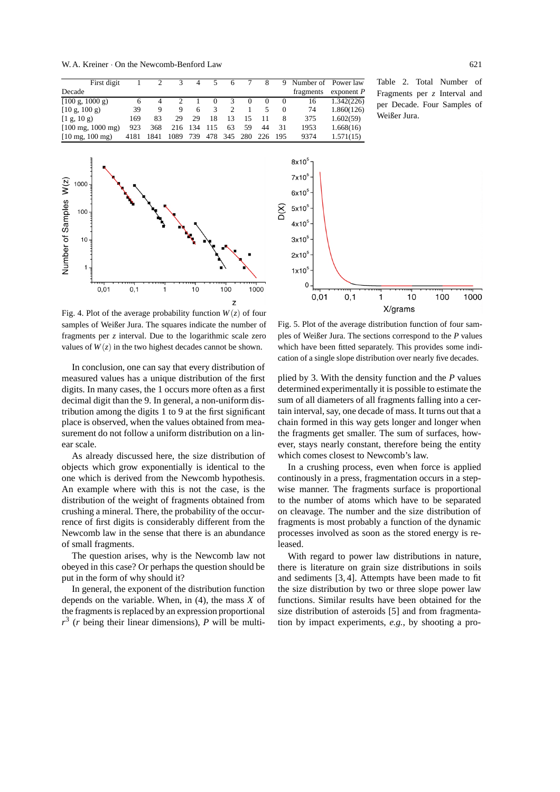W. A. Kreiner · On the Newcomb-Benford Law 621



Fig. 4. Plot of the average probability function  $W(z)$  of four samples of Weißer Jura. The squares indicate the number of fragments per *z* interval. Due to the logarithmic scale zero values of  $W(z)$  in the two highest decades cannot be shown.

In conclusion, one can say that every distribution of measured values has a unique distribution of the first digits. In many cases, the 1 occurs more often as a first decimal digit than the 9. In general, a non-uniform distribution among the digits 1 to 9 at the first significant place is observed, when the values obtained from measurement do not follow a uniform distribution on a linear scale.

As already discussed here, the size distribution of objects which grow exponentially is identical to the one which is derived from the Newcomb hypothesis. An example where with this is not the case, is the distribution of the weight of fragments obtained from crushing a mineral. There, the probability of the occurrence of first digits is considerably different from the Newcomb law in the sense that there is an abundance of small fragments.

The question arises, why is the Newcomb law not obeyed in this case? Or perhaps the question should be put in the form of why should it?

In general, the exponent of the distribution function depends on the variable. When, in (4), the mass *X* of the fragments is replaced by an expression proportional  $r<sup>3</sup>$  (*r* being their linear dimensions), *P* will be multi-

Fig. 5. Plot of the average distribution function of four samples of Weißer Jura. The sections correspond to the *P* values which have been fitted separately. This provides some indication of a single slope distribution over nearly five decades.

1

 $10$ 

X/grams

100

1000

 $0,1$ 

 $0,01$ 

plied by 3. With the density function and the *P* values determined experimentally it is possible to estimate the sum of all diameters of all fragments falling into a certain interval, say, one decade of mass. It turns out that a chain formed in this way gets longer and longer when the fragments get smaller. The sum of surfaces, however, stays nearly constant, therefore being the entity which comes closest to Newcomb's law.

In a crushing process, even when force is applied continously in a press, fragmentation occurs in a stepwise manner. The fragments surface is proportional to the number of atoms which have to be separated on cleavage. The number and the size distribution of fragments is most probably a function of the dynamic processes involved as soon as the stored energy is released.

With regard to power law distributions in nature, there is literature on grain size distributions in soils and sediments [3, 4]. Attempts have been made to fit the size distribution by two or three slope power law functions. Similar results have been obtained for the size distribution of asteroids [5] and from fragmentation by impact experiments, *e.g.*, by shooting a pro-



Table 2. Total Number of Fragments per *z* Interval and per Decade. Four Samples of Weißer Jura.